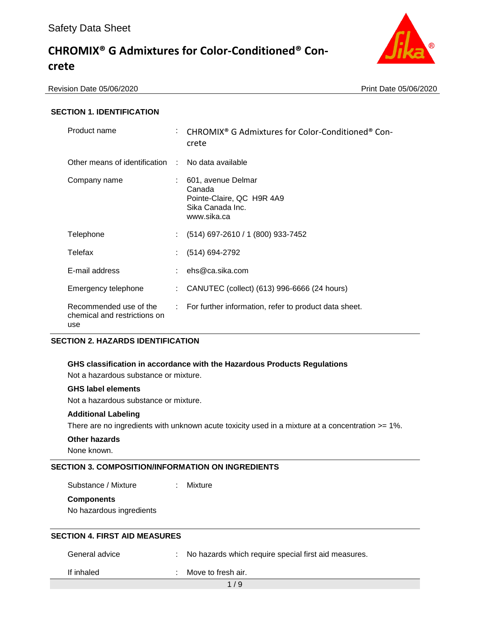

Revision Date 05/06/2020 Print Date 05/06/2020

## **SECTION 1. IDENTIFICATION**

| Product name                                                  |                           | CHROMIX <sup>®</sup> G Admixtures for Color-Conditioned <sup>®</sup> Con-<br>crete           |
|---------------------------------------------------------------|---------------------------|----------------------------------------------------------------------------------------------|
| Other means of identification :                               |                           | No data available                                                                            |
| Company name                                                  |                           | 601, avenue Delmar<br>Canada<br>Pointe-Claire, QC H9R 4A9<br>Sika Canada Inc.<br>www.sika.ca |
| Telephone                                                     |                           | $(514)$ 697-2610 / 1 (800) 933-7452                                                          |
| Telefax                                                       |                           | $(514) 694-2792$                                                                             |
| E-mail address                                                |                           | $:$ ehs@ca.sika.com                                                                          |
| Emergency telephone                                           | $\mathbb{Z}^{\mathbb{Z}}$ | CANUTEC (collect) (613) 996-6666 (24 hours)                                                  |
| Recommended use of the<br>chemical and restrictions on<br>use |                           | : For further information, refer to product data sheet.                                      |

## **SECTION 2. HAZARDS IDENTIFICATION**

#### **GHS classification in accordance with the Hazardous Products Regulations**

Not a hazardous substance or mixture.

### **GHS label elements**

Not a hazardous substance or mixture.

#### **Additional Labeling**

There are no ingredients with unknown acute toxicity used in a mixture at a concentration >= 1%.

### **Other hazards**

None known.

# **SECTION 3. COMPOSITION/INFORMATION ON INGREDIENTS**

Substance / Mixture : Mixture

#### **Components**

No hazardous ingredients

## **SECTION 4. FIRST AID MEASURES**

General advice : No hazards which require special first aid measures.

If inhaled : Move to fresh air.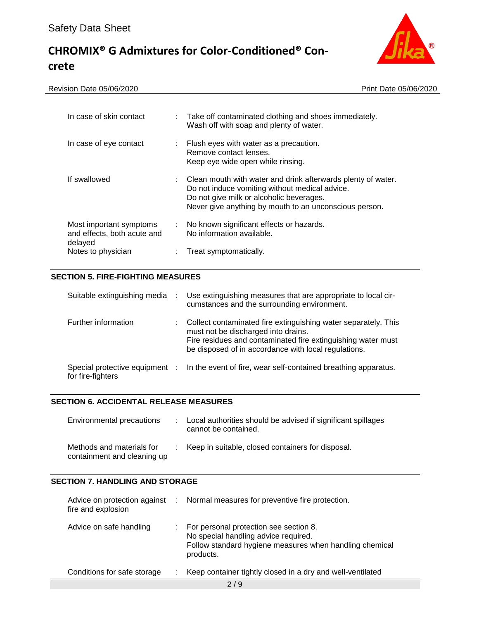

| Revision Date 05/06/2020                                          | Print Date 05/06/2020                                                                                                                                                                                                  |
|-------------------------------------------------------------------|------------------------------------------------------------------------------------------------------------------------------------------------------------------------------------------------------------------------|
| In case of skin contact                                           | : Take off contaminated clothing and shoes immediately.<br>Wash off with soap and plenty of water.                                                                                                                     |
| In case of eye contact                                            | Flush eyes with water as a precaution.<br>Remove contact lenses.<br>Keep eye wide open while rinsing.                                                                                                                  |
| If swallowed                                                      | : Clean mouth with water and drink afterwards plenty of water.<br>Do not induce vomiting without medical advice.<br>Do not give milk or alcoholic beverages.<br>Never give anything by mouth to an unconscious person. |
| Most important symptoms<br>and effects, both acute and<br>delayed | No known significant effects or hazards.<br>$\mathbb{Z}^n$ .<br>No information available.                                                                                                                              |
| Notes to physician                                                | Treat symptomatically.                                                                                                                                                                                                 |

# **SECTION 5. FIRE-FIGHTING MEASURES**

| Suitable extinguishing media                        | ÷  | Use extinguishing measures that are appropriate to local cir-<br>cumstances and the surrounding environment.                                                                                                                  |
|-----------------------------------------------------|----|-------------------------------------------------------------------------------------------------------------------------------------------------------------------------------------------------------------------------------|
| Further information                                 | t. | Collect contaminated fire extinguishing water separately. This<br>must not be discharged into drains.<br>Fire residues and contaminated fire extinguishing water must<br>be disposed of in accordance with local regulations. |
| Special protective equipment :<br>for fire-fighters |    | In the event of fire, wear self-contained breathing apparatus.                                                                                                                                                                |

### **SECTION 6. ACCIDENTAL RELEASE MEASURES**

| Environmental precautions                                | : Local authorities should be advised if significant spillages<br>cannot be contained. |
|----------------------------------------------------------|----------------------------------------------------------------------------------------|
| Methods and materials for<br>containment and cleaning up | : Keep in suitable, closed containers for disposal.                                    |

### **SECTION 7. HANDLING AND STORAGE**

| Advice on protection against :<br>fire and explosion | Normal measures for preventive fire protection.                                                                                                        |
|------------------------------------------------------|--------------------------------------------------------------------------------------------------------------------------------------------------------|
| Advice on safe handling                              | For personal protection see section 8.<br>No special handling advice required.<br>Follow standard hygiene measures when handling chemical<br>products. |
| Conditions for safe storage                          | Keep container tightly closed in a dry and well-ventilated                                                                                             |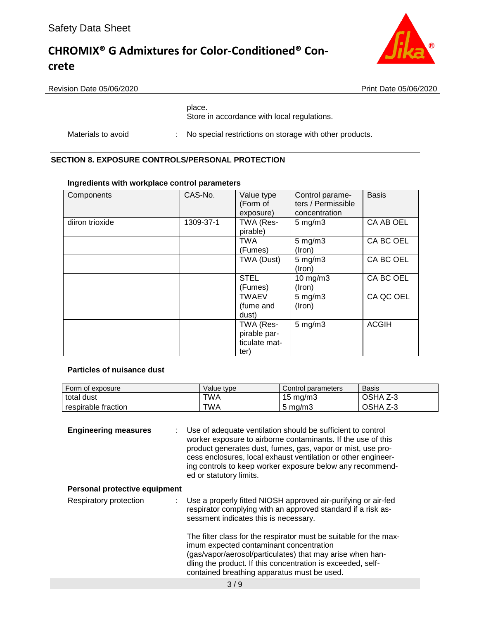

Revision Date 05/06/2020 Print Date 05/06/2020

### place.

Store in accordance with local regulations.

Materials to avoid : No special restrictions on storage with other products.

## **SECTION 8. EXPOSURE CONTROLS/PERSONAL PROTECTION**

### **Ingredients with workplace control parameters**

| Components      | CAS-No.   | Value type<br>(Form of<br>exposure)                | Control parame-<br>ters / Permissible<br>concentration | <b>Basis</b> |
|-----------------|-----------|----------------------------------------------------|--------------------------------------------------------|--------------|
| diiron trioxide | 1309-37-1 | TWA (Res-<br>pirable)                              | $5 \text{ mg/m}$ 3                                     | CA AB OEL    |
|                 |           | <b>TWA</b><br>(Fumes)                              | $5$ mg/m $3$<br>(Iron)                                 | CA BC OEL    |
|                 |           | TWA (Dust)                                         | $5 \text{ mg/m}$ 3<br>(Iron)                           | CA BC OEL    |
|                 |           | <b>STEL</b><br>(Fumes)                             | $10$ mg/m $3$<br>(Iron)                                | CA BC OEL    |
|                 |           | <b>TWAEV</b><br>(fume and<br>dust)                 | $5 \text{ mg/m}$ 3<br>(Iron)                           | CA QC OEL    |
|                 |           | TWA (Res-<br>pirable par-<br>ticulate mat-<br>ter) | $5$ mg/m $3$                                           | <b>ACGIH</b> |

#### **Particles of nuisance dust**

| Form of exposure    | Value tvpe | Control parameters  | <b>Basis</b>       |
|---------------------|------------|---------------------|--------------------|
| total dust          | TWA        | $15 \text{ ma/m}$ 3 | OSHA<br>ۍ-ي        |
| respirable fraction | <b>TWA</b> | $5 \text{ ma/m}$ 3  | OSHA<br>¬ ^<br>2-3 |

**Engineering measures** : Use of adequate ventilation should be sufficient to control worker exposure to airborne contaminants. If the use of this product generates dust, fumes, gas, vapor or mist, use process enclosures, local exhaust ventilation or other engineering controls to keep worker exposure below any recommended or statutory limits.

## **Personal protective equipment**

Respiratory protection : Use a properly fitted NIOSH approved air-purifying or air-fed respirator complying with an approved standard if a risk assessment indicates this is necessary. The filter class for the respirator must be suitable for the maximum expected contaminant concentration

(gas/vapor/aerosol/particulates) that may arise when handling the product. If this concentration is exceeded, selfcontained breathing apparatus must be used.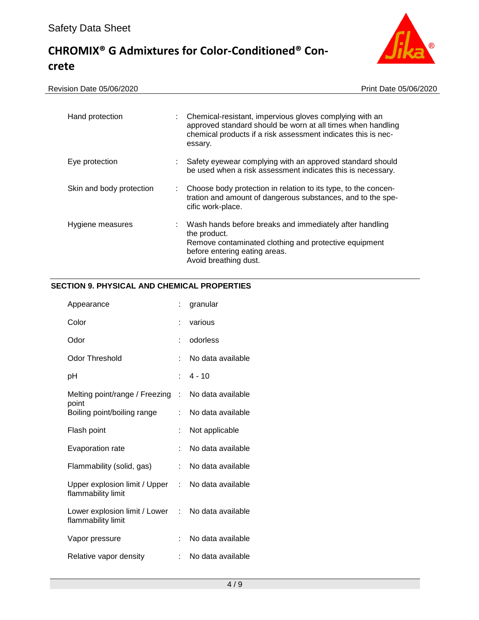

Revision Date 05/06/2020 **Print Date 05/06/2020** 

| Hand protection          |    | Chemical-resistant, impervious gloves complying with an<br>approved standard should be worn at all times when handling<br>chemical products if a risk assessment indicates this is nec-<br>essary. |
|--------------------------|----|----------------------------------------------------------------------------------------------------------------------------------------------------------------------------------------------------|
| Eye protection           |    | Safety eyewear complying with an approved standard should<br>be used when a risk assessment indicates this is necessary.                                                                           |
| Skin and body protection | t. | Choose body protection in relation to its type, to the concen-<br>tration and amount of dangerous substances, and to the spe-<br>cific work-place.                                                 |
| Hygiene measures         |    | Wash hands before breaks and immediately after handling<br>the product.<br>Remove contaminated clothing and protective equipment<br>before entering eating areas.<br>Avoid breathing dust.         |

# **SECTION 9. PHYSICAL AND CHEMICAL PROPERTIES**

| Appearance                                            |    | granular          |
|-------------------------------------------------------|----|-------------------|
| Color                                                 | t  | various           |
| Odor                                                  | t  | odorless          |
| <b>Odor Threshold</b>                                 | t  | No data available |
| рH                                                    | t. | $4 - 10$          |
| Melting point/range / Freezing :                      |    | No data available |
| point<br>Boiling point/boiling range                  | ÷  | No data available |
| Flash point                                           | ÷  | Not applicable    |
| <b>Evaporation rate</b>                               | t  | No data available |
| Flammability (solid, gas)                             | ÷  | No data available |
| Upper explosion limit / Upper :<br>flammability limit |    | No data available |
| Lower explosion limit / Lower :<br>flammability limit |    | No data available |
| Vapor pressure                                        | t. | No data available |
| Relative vapor density                                | t. | No data available |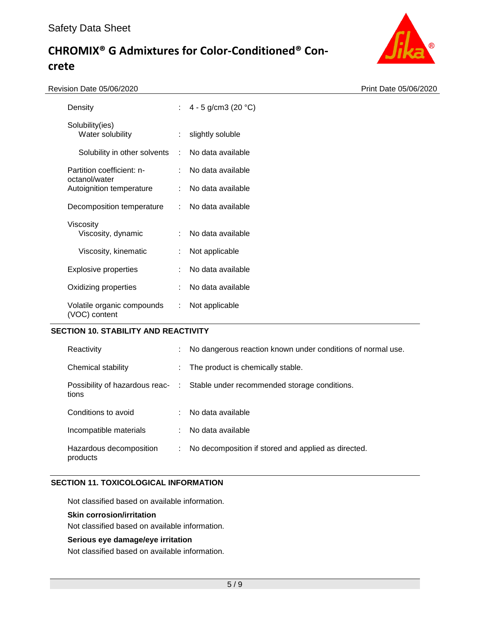

| ision Date 05/06/2020                       |    |                        | Print Date 05/06/2020 |
|---------------------------------------------|----|------------------------|-----------------------|
| Density                                     | t. | 4 - 5 g/cm3 (20 $°C$ ) |                       |
| Solubility(ies)<br>Water solubility         | ÷. | slightly soluble       |                       |
| Solubility in other solvents :              |    | No data available      |                       |
| Partition coefficient: n-<br>octanol/water  |    | No data available      |                       |
| Autoignition temperature                    | ÷  | No data available      |                       |
| Decomposition temperature                   | ÷  | No data available      |                       |
| Viscosity<br>Viscosity, dynamic             | ÷  | No data available      |                       |
| Viscosity, kinematic                        |    | Not applicable         |                       |
| <b>Explosive properties</b>                 |    | No data available      |                       |
| Oxidizing properties                        |    | No data available      |                       |
| Volatile organic compounds<br>(VOC) content | ÷  | Not applicable         |                       |

### **SECTION 10. STABILITY AND REACTIVITY**

| Reactivity                              |    | No dangerous reaction known under conditions of normal use. |
|-----------------------------------------|----|-------------------------------------------------------------|
| Chemical stability                      |    | The product is chemically stable.                           |
| Possibility of hazardous reac-<br>tions |    | Stable under recommended storage conditions.                |
| Conditions to avoid                     |    | : No data available                                         |
| Incompatible materials                  |    | No data available                                           |
| Hazardous decomposition<br>products     | ÷. | No decomposition if stored and applied as directed.         |

# **SECTION 11. TOXICOLOGICAL INFORMATION**

Not classified based on available information.

#### **Skin corrosion/irritation**

Not classified based on available information.

### **Serious eye damage/eye irritation**

Not classified based on available information.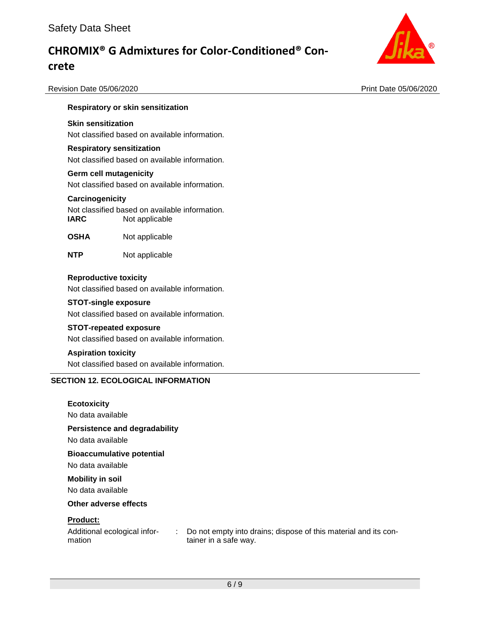

Revision Date 05/06/2020 Print Date 05/06/2020

# **Respiratory or skin sensitization**

#### **Skin sensitization**

Not classified based on available information.

#### **Respiratory sensitization**

Not classified based on available information.

#### **Germ cell mutagenicity**

Not classified based on available information.

#### **Carcinogenicity**

Not classified based on available information. **IARC** Not applicable

- **OSHA** Not applicable
- **NTP** Not applicable

#### **Reproductive toxicity**

Not classified based on available information.

#### **STOT-single exposure**

Not classified based on available information.

#### **STOT-repeated exposure**

Not classified based on available information.

#### **Aspiration toxicity**

Not classified based on available information.

# **SECTION 12. ECOLOGICAL INFORMATION**

### **Ecotoxicity**

No data available

### **Persistence and degradability**

No data available

#### **Bioaccumulative potential**

No data available

#### **Mobility in soil**

No data available

#### **Other adverse effects**

#### **Product:**

Additional ecological information

: Do not empty into drains; dispose of this material and its container in a safe way.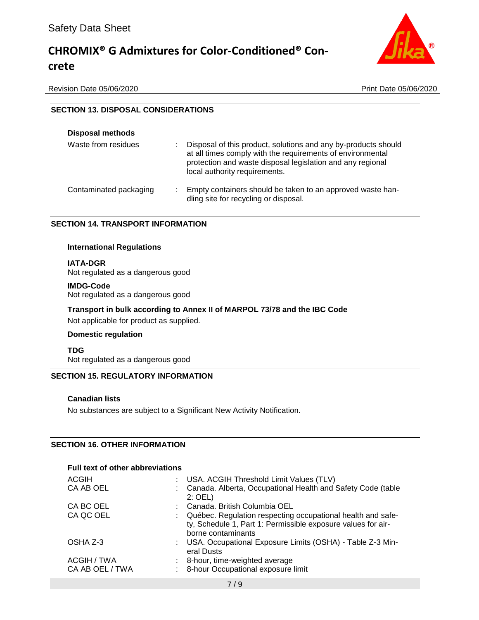

Revision Date 05/06/2020 Print Date 05/06/2020

# **SECTION 13. DISPOSAL CONSIDERATIONS**

| <b>Disposal methods</b>     |                                                                                                                                                                                                                             |
|-----------------------------|-----------------------------------------------------------------------------------------------------------------------------------------------------------------------------------------------------------------------------|
| Waste from residues<br>÷    | Disposal of this product, solutions and any by-products should<br>at all times comply with the requirements of environmental<br>protection and waste disposal legislation and any regional<br>local authority requirements. |
| Contaminated packaging<br>÷ | Empty containers should be taken to an approved waste han-<br>dling site for recycling or disposal.                                                                                                                         |

# **SECTION 14. TRANSPORT INFORMATION**

#### **International Regulations**

**IATA-DGR** Not regulated as a dangerous good

#### **IMDG-Code**

Not regulated as a dangerous good

**Transport in bulk according to Annex II of MARPOL 73/78 and the IBC Code**

Not applicable for product as supplied.

#### **Domestic regulation**

**TDG**

Not regulated as a dangerous good

# **SECTION 15. REGULATORY INFORMATION**

#### **Canadian lists**

No substances are subject to a Significant New Activity Notification.

# **SECTION 16. OTHER INFORMATION**

## **Full text of other abbreviations**

| ACGIH           | : USA. ACGIH Threshold Limit Values (TLV)                                                                                                         |
|-----------------|---------------------------------------------------------------------------------------------------------------------------------------------------|
| CA AB OEL       | Canada. Alberta, Occupational Health and Safety Code (table<br>$2:$ OEL)                                                                          |
| CA BC OEL       | Canada. British Columbia OEL                                                                                                                      |
| CA QC OEL       | Québec. Regulation respecting occupational health and safe-<br>ty, Schedule 1, Part 1: Permissible exposure values for air-<br>borne contaminants |
| OSHA Z-3        | : USA. Occupational Exposure Limits (OSHA) - Table Z-3 Min-<br>eral Dusts                                                                         |
| ACGIH / TWA     | 8-hour, time-weighted average                                                                                                                     |
| CA AB OEL / TWA | : 8-hour Occupational exposure limit                                                                                                              |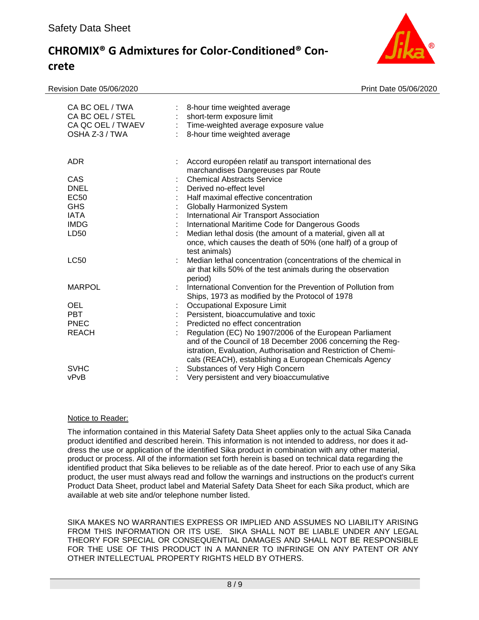Revision Date 05/06/2020 Print Date 05/06/2020



| CA BC OEL / TWA<br>CA BC OEL / STEL<br>CA QC OEL / TWAEV<br>OSHA Z-3 / TWA                 | ÷. | 8-hour time weighted average<br>short-term exposure limit<br>Time-weighted average exposure value<br>8-hour time weighted average                                                                                                                                                                                                                               |
|--------------------------------------------------------------------------------------------|----|-----------------------------------------------------------------------------------------------------------------------------------------------------------------------------------------------------------------------------------------------------------------------------------------------------------------------------------------------------------------|
| <b>ADR</b>                                                                                 |    | Accord européen relatif au transport international des<br>marchandises Dangereuses par Route                                                                                                                                                                                                                                                                    |
| CAS<br><b>DNEL</b><br>EC <sub>50</sub><br><b>GHS</b><br><b>IATA</b><br><b>IMDG</b><br>LD50 |    | <b>Chemical Abstracts Service</b><br>Derived no-effect level<br>Half maximal effective concentration<br>Globally Harmonized System<br>International Air Transport Association<br>International Maritime Code for Dangerous Goods<br>Median lethal dosis (the amount of a material, given all at<br>once, which causes the death of 50% (one half) of a group of |
| <b>LC50</b>                                                                                |    | test animals)<br>Median lethal concentration (concentrations of the chemical in<br>air that kills 50% of the test animals during the observation<br>period)                                                                                                                                                                                                     |
| <b>MARPOL</b>                                                                              |    | International Convention for the Prevention of Pollution from<br>Ships, 1973 as modified by the Protocol of 1978                                                                                                                                                                                                                                                |
| <b>OEL</b><br><b>PBT</b><br><b>PNEC</b><br><b>REACH</b>                                    |    | Occupational Exposure Limit<br>Persistent, bioaccumulative and toxic<br>Predicted no effect concentration<br>Regulation (EC) No 1907/2006 of the European Parliament<br>and of the Council of 18 December 2006 concerning the Reg-<br>istration, Evaluation, Authorisation and Restriction of Chemi-<br>cals (REACH), establishing a European Chemicals Agency  |
| <b>SVHC</b><br>vPvB                                                                        |    | Substances of Very High Concern<br>Very persistent and very bioaccumulative                                                                                                                                                                                                                                                                                     |

## Notice to Reader:

The information contained in this Material Safety Data Sheet applies only to the actual Sika Canada product identified and described herein. This information is not intended to address, nor does it address the use or application of the identified Sika product in combination with any other material, product or process. All of the information set forth herein is based on technical data regarding the identified product that Sika believes to be reliable as of the date hereof. Prior to each use of any Sika product, the user must always read and follow the warnings and instructions on the product's current Product Data Sheet, product label and Material Safety Data Sheet for each Sika product, which are available at web site and/or telephone number listed.

SIKA MAKES NO WARRANTIES EXPRESS OR IMPLIED AND ASSUMES NO LIABILITY ARISING FROM THIS INFORMATION OR ITS USE. SIKA SHALL NOT BE LIABLE UNDER ANY LEGAL THEORY FOR SPECIAL OR CONSEQUENTIAL DAMAGES AND SHALL NOT BE RESPONSIBLE FOR THE USE OF THIS PRODUCT IN A MANNER TO INFRINGE ON ANY PATENT OR ANY OTHER INTELLECTUAL PROPERTY RIGHTS HELD BY OTHERS.